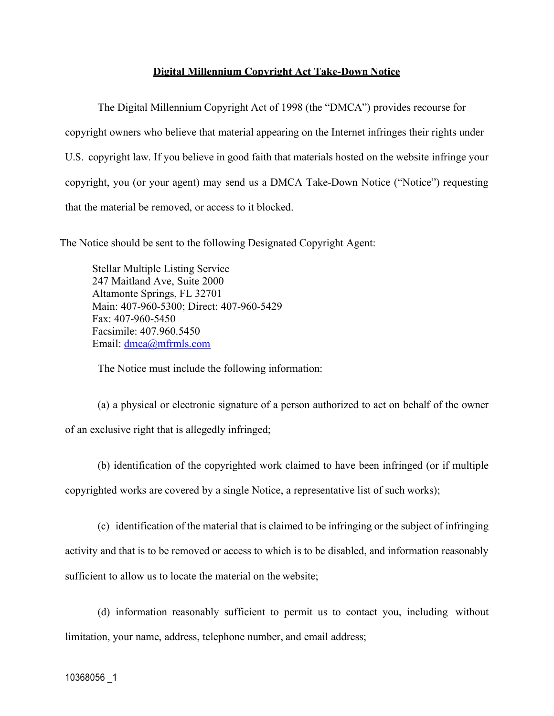## **Digital Millennium Copyright Act Take-Down Notice**

The Digital Millennium Copyright Act of 1998 (the "DMCA") provides recourse for copyright owners who believe that material appearing on the Internet infringes their rights under U.S. copyright law. If you believe in good faith that materials hosted on the website infringe your copyright, you (or your agent) may send us a DMCA Take-Down Notice ("Notice") requesting that the material be removed, or access to it blocked.

The Notice should be sent to the following Designated Copyright Agent:

Stellar Multiple Listing Service 247 Maitland Ave, Suite 2000 Altamonte Springs, FL 32701 Main: 407-960-5300; Direct: 407-960-5429 Fax: 407-960-5450 Facsimile: 407.960.5450 Email: dmca@mfrmls.com

The Notice must include the following information:

(a) a physical or electronic signature of a person authorized to act on behalf of the owner of an exclusive right that is allegedly infringed;

(b) identification of the copyrighted work claimed to have been infringed (or if multiple copyrighted works are covered by a single Notice, a representative list of such works);

(c) identification of the material that is claimed to be infringing or the subject of infringing activity and that is to be removed or access to which is to be disabled, and information reasonably sufficient to allow us to locate the material on the website;

(d) information reasonably sufficient to permit us to contact you, including without limitation, your name, address, telephone number, and email address;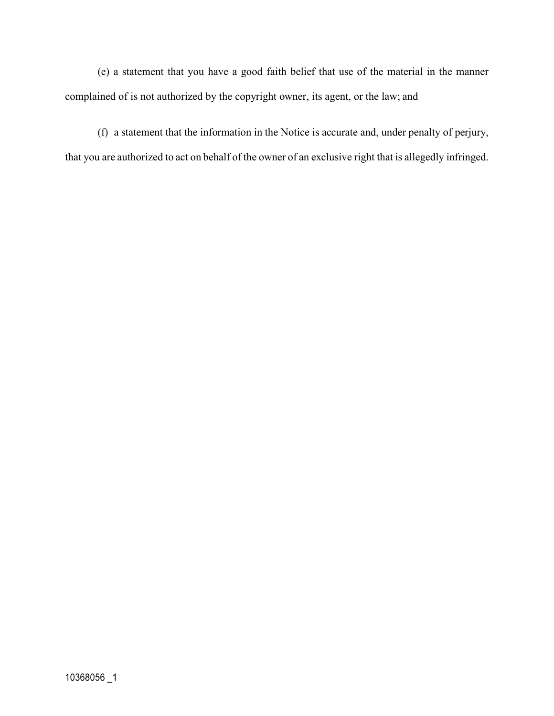(e) a statement that you have a good faith belief that use of the material in the manner complained of is not authorized by the copyright owner, its agent, or the law; and

(f) a statement that the information in the Notice is accurate and, under penalty of perjury, that you are authorized to act on behalf of the owner of an exclusive right that is allegedly infringed.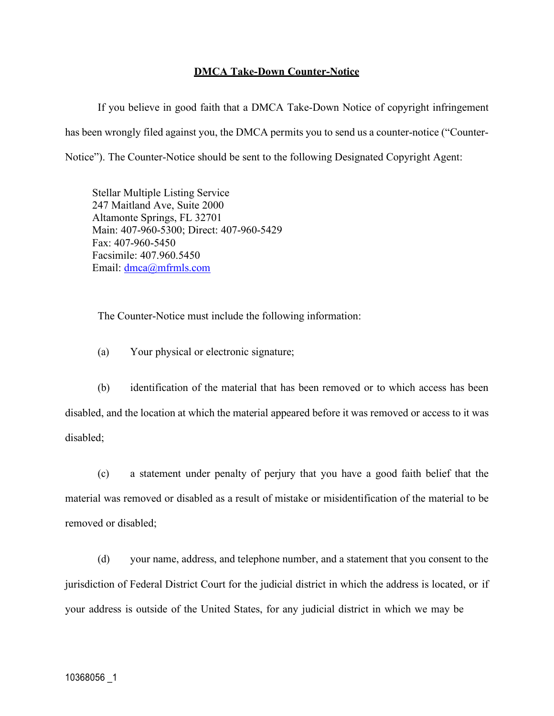## **DMCA Take-Down Counter-Notice**

If you believe in good faith that a DMCA Take-Down Notice of copyright infringement has been wrongly filed against you, the DMCA permits you to send us a counter-notice ("Counter-Notice"). The Counter-Notice should be sent to the following Designated Copyright Agent:

Stellar Multiple Listing Service 247 Maitland Ave, Suite 2000 Altamonte Springs, FL 32701 Main: 407-960-5300; Direct: 407-960-5429 Fax: 407-960-5450 Facsimile: 407.960.5450 Email: dmca@mfrmls.com

The Counter-Notice must include the following information:

(a) Your physical or electronic signature;

(b) identification of the material that has been removed or to which access has been disabled, and the location at which the material appeared before it was removed or access to it was disabled;

(c) a statement under penalty of perjury that you have a good faith belief that the material was removed or disabled as a result of mistake or misidentification of the material to be removed or disabled;

(d) your name, address, and telephone number, and a statement that you consent to the jurisdiction of Federal District Court for the judicial district in which the address is located, or if your address is outside of the United States, for any judicial district in which we may be